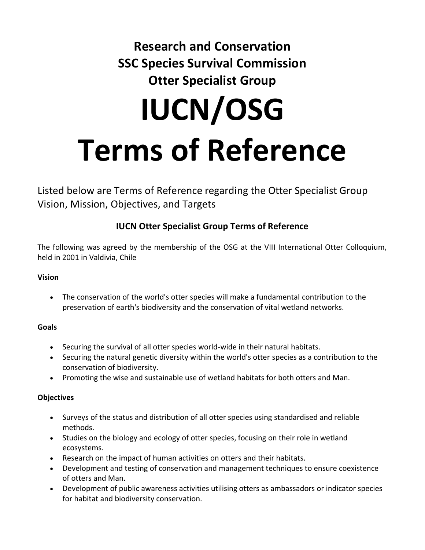# **Research and Conservation SSC Species Survival Commission Otter Specialist Group IUCN/OSG Terms of Reference**

Listed below are Terms of Reference regarding the Otter Specialist Group Vision, Mission, Objectives, and Targets

## **IUCN Otter Specialist Group Terms of Reference**

The following was agreed by the membership of the OSG at the VIII International Otter Colloquium, held in 2001 in Valdivia, Chile

### **Vision**

• The conservation of the world's otter species will make a fundamental contribution to the preservation of earth's biodiversity and the conservation of vital wetland networks.

### **Goals**

- Securing the survival of all otter species world-wide in their natural habitats.
- Securing the natural genetic diversity within the world's otter species as a contribution to the conservation of biodiversity.
- Promoting the wise and sustainable use of wetland habitats for both otters and Man.

### **Objectives**

- Surveys of the status and distribution of all otter species using standardised and reliable methods.
- Studies on the biology and ecology of otter species, focusing on their role in wetland ecosystems.
- Research on the impact of human activities on otters and their habitats.
- Development and testing of conservation and management techniques to ensure coexistence of otters and Man.
- Development of public awareness activities utilising otters as ambassadors or indicator species for habitat and biodiversity conservation.